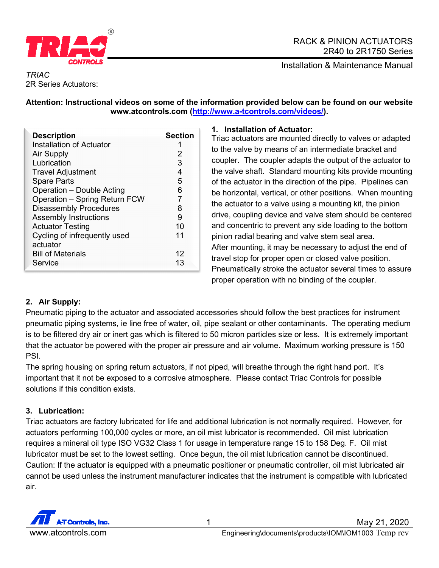

## RACK & PINION ACTUATORS 2R40 to 2R1750 Series

Installation & Maintenance Manual

## *TRIAC* 2R Series Actuators:

# **Attention: Instructional videos on some of the information provided below can be found on our website www.atcontrols.com [\(http://www.a-tcontrols.com/videos/\)](http://www.a-tcontrols.com/videos/).**

| <b>Description</b>            | <b>Section</b> |
|-------------------------------|----------------|
| Installation of Actuator      |                |
| <b>Air Supply</b>             | 2              |
| Lubrication                   | 3              |
| <b>Travel Adjustment</b>      | 4              |
| <b>Spare Parts</b>            | 5              |
| Operation - Double Acting     | 6              |
| Operation - Spring Return FCW |                |
| <b>Disassembly Procedures</b> | 8              |
| <b>Assembly Instructions</b>  | 9              |
| <b>Actuator Testing</b>       | 10             |
| Cycling of infrequently used  | 11             |
| actuator                      |                |
| <b>Bill of Materials</b>      | 12             |
| Service                       | 13             |

# **1. Installation of Actuator:**

Triac actuators are mounted directly to valves or adapted to the valve by means of an intermediate bracket and coupler. The coupler adapts the output of the actuator to the valve shaft. Standard mounting kits provide mounting of the actuator in the direction of the pipe. Pipelines can be horizontal, vertical, or other positions. When mounting the actuator to a valve using a mounting kit, the pinion drive, coupling device and valve stem should be centered and concentric to prevent any side loading to the bottom pinion radial bearing and valve stem seal area. After mounting, it may be necessary to adjust the end of travel stop for proper open or closed valve position. Pneumatically stroke the actuator several times to assure proper operation with no binding of the coupler.

# **2. Air Supply:**

Pneumatic piping to the actuator and associated accessories should follow the best practices for instrument pneumatic piping systems, ie line free of water, oil, pipe sealant or other contaminants. The operating medium is to be filtered dry air or inert gas which is filtered to 50 micron particles size or less. It is extremely important that the actuator be powered with the proper air pressure and air volume. Maximum working pressure is 150 PSI.

The spring housing on spring return actuators, if not piped, will breathe through the right hand port. It's important that it not be exposed to a corrosive atmosphere. Please contact Triac Controls for possible solutions if this condition exists.

# **3. Lubrication:**

Triac actuators are factory lubricated for life and additional lubrication is not normally required. However, for actuators performing 100,000 cycles or more, an oil mist lubricator is recommended. Oil mist lubrication requires a mineral oil type ISO VG32 Class 1 for usage in temperature range 15 to 158 Deg. F. Oil mist lubricator must be set to the lowest setting. Once begun, the oil mist lubrication cannot be discontinued. Caution: If the actuator is equipped with a pneumatic positioner or pneumatic controller, oil mist lubricated air cannot be used unless the instrument manufacturer indicates that the instrument is compatible with lubricated air.

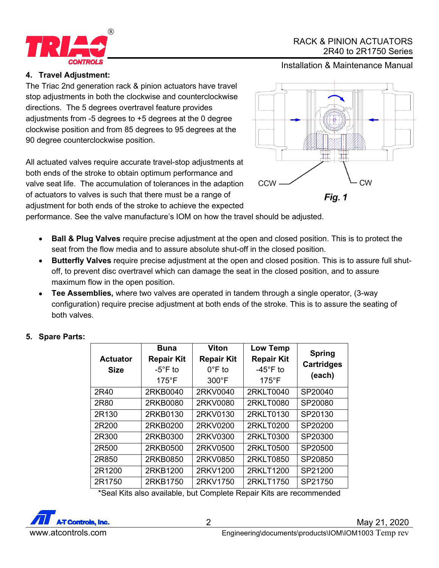

# RACK & PINION ACTUATORS 2R40 to 2R1750 Series

Installation & Maintenance Manual

# **4. Travel Adjustment:**

The Triac 2nd generation rack & pinion actuators have travel stop adjustments in both the clockwise and counterclockwise directions. The 5 degrees overtravel feature provides adjustments from -5 degrees to +5 degrees at the 0 degree clockwise position and from 85 degrees to 95 degrees at the 90 degree counterclockwise position.

All actuated valves require accurate travel-stop adjustments at both ends of the stroke to obtain optimum performance and valve seat life. The accumulation of tolerances in the adaption of actuators to valves is such that there must be a range of adjustment for both ends of the stroke to achieve the expected



performance. See the valve manufacture's IOM on how the travel should be adjusted.

- **Ball & Plug Valves** require precise adjustment at the open and closed position. This is to protect the seat from the flow media and to assure absolute shut-off in the closed position.
- **Butterfly Valves** require precise adjustment at the open and closed position. This is to assure full shutoff, to prevent disc overtravel which can damage the seat in the closed position, and to assure maximum flow in the open position.
- **Tee Assemblies,** where two valves are operated in tandem through a single operator, (3-way configuration) require precise adjustment at both ends of the stroke. This is to assure the seating of both valves.

| <b>Actuator</b><br><b>Size</b> | <b>Buna</b><br><b>Repair Kit</b><br>$-5^{\circ}$ F to<br>$175^{\circ}$ F | <b>Viton</b><br><b>Repair Kit</b><br>$0^{\circ}$ F to<br>$300^{\circ}$ F | <b>Low Temp</b><br><b>Repair Kit</b><br>$-45^{\circ}$ F to<br>$175^{\circ}$ F | <b>Spring</b><br><b>Cartridges</b><br>(each) |
|--------------------------------|--------------------------------------------------------------------------|--------------------------------------------------------------------------|-------------------------------------------------------------------------------|----------------------------------------------|
| 2R40                           | 2RKB0040                                                                 | 2RKV0040                                                                 | 2RKLT0040                                                                     | SP20040                                      |
| 2R80                           | 2RKB0080                                                                 | 2RKV0080                                                                 | 2RKLT0080                                                                     | SP20080                                      |
| 2R130                          | 2RKB0130                                                                 | 2RKV0130                                                                 | 2RKLT0130                                                                     | SP20130                                      |
| 2R200                          | 2RKB0200                                                                 | 2RKV0200                                                                 | 2RKLT0200                                                                     | SP20200                                      |
| 2R300                          | 2RKB0300                                                                 | 2RKV0300                                                                 | 2RKLT0300                                                                     | SP20300                                      |
| 2R500                          | 2RKB0500                                                                 | 2RKV0500                                                                 | 2RKLT0500                                                                     | SP20500                                      |
| 2R850                          | 2RKB0850                                                                 | 2RKV0850                                                                 | 2RKLT0850                                                                     | SP20850                                      |
| 2R1200                         | 2RKB1200                                                                 | 2RKV1200                                                                 | 2RKLT1200                                                                     | SP21200                                      |
| 2R1750                         | 2RKB1750                                                                 | 2RKV1750<br>.                                                            | 2RKLT1750<br>.                                                                | SP21750                                      |

# **5. Spare Parts:**

\*Seal Kits also available, but Complete Repair Kits are recommended

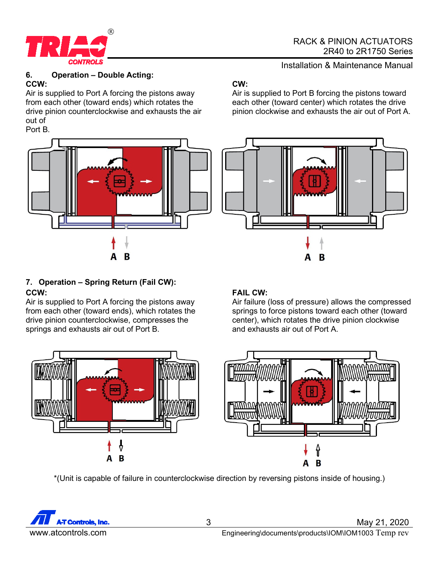

### **6. Operation – Double Acting: CCW:**

Air is supplied to Port A forcing the pistons away from each other (toward ends) which rotates the drive pinion counterclockwise and exhausts the air out of



# **7. Operation – Spring Return (Fail CW): CCW:**

Air is supplied to Port A forcing the pistons away from each other (toward ends), which rotates the drive pinion counterclockwise, compresses the springs and exhausts air out of Port B.

# **CW:**

Air is supplied to Port B forcing the pistons toward each other (toward center) which rotates the drive pinion clockwise and exhausts the air out of Port A.



# **FAIL CW:**

Air failure (loss of pressure) allows the compressed springs to force pistons toward each other (toward center), which rotates the drive pinion clockwise and exhausts air out of Port A.



\*(Unit is capable of failure in counterclockwise direction by reversing pistons inside of housing.)



3 May 21, 2020 www.atcontrols.com error Engineering\documents\products\IOM\IOM1003 Temp rev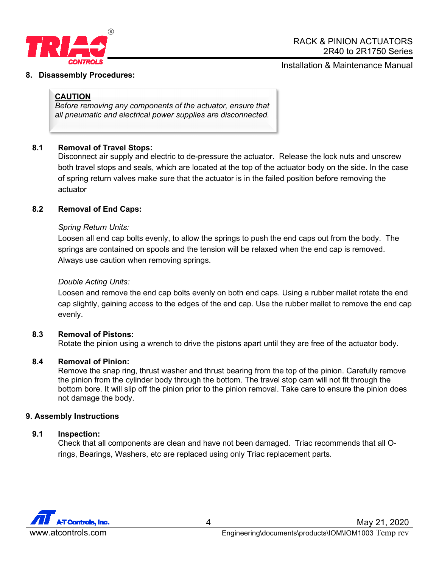

#### **8. Disassembly Procedures:**

## **CAUTION**

*Before removing any components of the actuator, ensure that all pneumatic and electrical power supplies are disconnected.*

## **8.1 Removal of Travel Stops:**

Disconnect air supply and electric to de-pressure the actuator. Release the lock nuts and unscrew both travel stops and seals, which are located at the top of the actuator body on the side. In the case of spring return valves make sure that the actuator is in the failed position before removing the actuator

### **8.2 Removal of End Caps:**

### *Spring Return Units:*

Loosen all end cap bolts evenly, to allow the springs to push the end caps out from the body. The springs are contained on spools and the tension will be relaxed when the end cap is removed. Always use caution when removing springs.

### *Double Acting Units:*

Loosen and remove the end cap bolts evenly on both end caps. Using a rubber mallet rotate the end cap slightly, gaining access to the edges of the end cap. Use the rubber mallet to remove the end cap evenly.

### **8.3 Removal of Pistons:**

Rotate the pinion using a wrench to drive the pistons apart until they are free of the actuator body.

### **8.4 Removal of Pinion:**

Remove the snap ring, thrust washer and thrust bearing from the top of the pinion. Carefully remove the pinion from the cylinder body through the bottom. The travel stop cam will not fit through the bottom bore. It will slip off the pinion prior to the pinion removal. Take care to ensure the pinion does not damage the body.

#### **9. Assembly Instructions**

#### **9.1 Inspection:**

Check that all components are clean and have not been damaged. Triac recommends that all Orings, Bearings, Washers, etc are replaced using only Triac replacement parts.

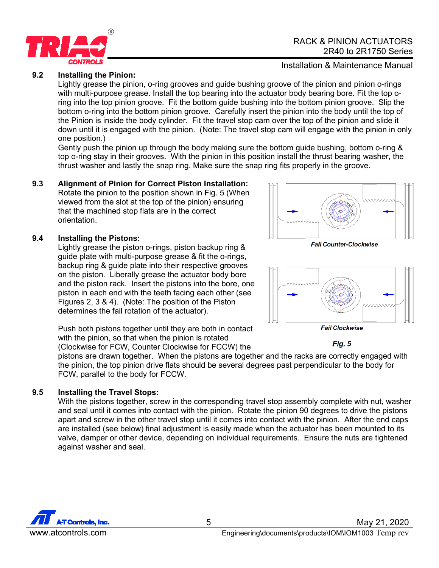

## **9.2 Installing the Pinion:**

Lightly grease the pinion, o-ring grooves and guide bushing groove of the pinion and pinion o-rings with multi-purpose grease. Install the top bearing into the actuator body bearing bore. Fit the top oring into the top pinion groove. Fit the bottom guide bushing into the bottom pinion groove. Slip the bottom o-ring into the bottom pinion groove. Carefully insert the pinion into the body until the top of the Pinion is inside the body cylinder. Fit the travel stop cam over the top of the pinion and slide it down until it is engaged with the pinion. (Note: The travel stop cam will engage with the pinion in only one position.)

Gently push the pinion up through the body making sure the bottom guide bushing, bottom o-ring & top o-ring stay in their grooves. With the pinion in this position install the thrust bearing washer, the thrust washer and lastly the snap ring. Make sure the snap ring fits properly in the groove.

### **9.3 Alignment of Pinion for Correct Piston Installation:**

Rotate the pinion to the position shown in Fig. 5 (When viewed from the slot at the top of the pinion) ensuring that the machined stop flats are in the correct orientation.

### **9.4 Installing the Pistons:**

Lightly grease the piston o-rings, piston backup ring & guide plate with multi-purpose grease & fit the o-rings, backup ring & guide plate into their respective grooves on the piston. Liberally grease the actuator body bore and the piston rack. Insert the pistons into the bore, one piston in each end with the teeth facing each other (see Figures 2, 3 & 4). (Note: The position of the Piston determines the fail rotation of the actuator).

Push both pistons together until they are both in contact with the pinion, so that when the pinion is rotated (Clockwise for FCW, Counter Clockwise for FCCW) the

pistons are drawn together. When the pistons are together and the racks are correctly engaged with the pinion, the top pinion drive flats should be several degrees past perpendicular to the body for FCW, parallel to the body for FCCW.

# **9.5 Installing the Travel Stops:**

With the pistons together, screw in the corresponding travel stop assembly complete with nut, washer and seal until it comes into contact with the pinion. Rotate the pinion 90 degrees to drive the pistons apart and screw in the other travel stop until it comes into contact with the pinion. After the end caps are installed (see below) final adjustment is easily made when the actuator has been mounted to its valve, damper or other device, depending on individual requirements. Ensure the nuts are tightened against washer and seal.









Fig. 5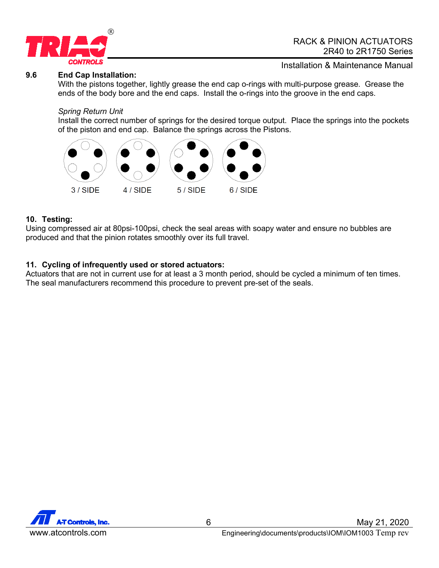

#### **9.6 End Cap Installation:**

Installation & Maintenance Manual

With the pistons together, lightly grease the end cap o-rings with multi-purpose grease. Grease the ends of the body bore and the end caps. Install the o-rings into the groove in the end caps.

#### *Spring Return Unit*

Install the correct number of springs for the desired torque output. Place the springs into the pockets of the piston and end cap. Balance the springs across the Pistons.



#### **10. Testing:**

Using compressed air at 80psi-100psi, check the seal areas with soapy water and ensure no bubbles are produced and that the pinion rotates smoothly over its full travel.

## **11. Cycling of infrequently used or stored actuators:**

Actuators that are not in current use for at least a 3 month period, should be cycled a minimum of ten times. The seal manufacturers recommend this procedure to prevent pre-set of the seals.

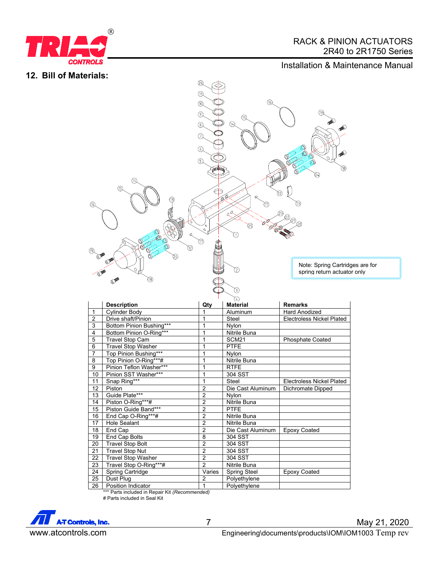

# RACK & PINION ACTUATORS 2R40 to 2R1750 Series

# Installation & Maintenance Manual





|                | <b>Description</b>        | Qty            | <b>Material</b>     | <b>Remarks</b>                   |
|----------------|---------------------------|----------------|---------------------|----------------------------------|
| $\mathbf{1}$   | Cylinder Body             |                | Aluminum            | <b>Hard Anodized</b>             |
| $\overline{2}$ | Drive shaft/Pinion        |                | Steel               | <b>Electroless Nickel Plated</b> |
| 3              | Bottom Pinion Bushing***  | 1              | <b>Nvlon</b>        |                                  |
| 4              | Bottom Pinion O-Ring***   | 1              | Nitrile Buna        |                                  |
| 5              | <b>Travel Stop Cam</b>    | 1              | SCM <sub>21</sub>   | <b>Phosphate Coated</b>          |
| 6              | <b>Travel Stop Washer</b> |                | <b>PTFE</b>         |                                  |
| $\overline{7}$ | Top Pinion Bushing***     |                | Nylon               |                                  |
| 8              | Top Pinion O-Ring***#     | 1              | <b>Nitrile Buna</b> |                                  |
| 9              | Pinion Teflon Washer***   | 1              | <b>RTFE</b>         |                                  |
| 10             | Pinion SST Washer***      |                | 304 SST             |                                  |
| 11             | Snap Ring***              | 1              | Steel               | <b>Electroless Nickel Plated</b> |
| 12             | Piston                    | $\overline{2}$ | Die Cast Aluminum   | Dichromate Dipped                |
| 13             | Guide Plate***            | $\overline{2}$ | Nylon               |                                  |
| 14             | Piston O-Ring***#         | $\overline{2}$ | Nitrile Buna        |                                  |
| 15             | Piston Guide Band***      | $\overline{2}$ | <b>PTFE</b>         |                                  |
| 16             | End Cap O-Ring***#        | $\overline{2}$ | Nitrile Buna        |                                  |
| 17             | <b>Hole Sealant</b>       | $\overline{2}$ | Nitrile Buna        |                                  |
| 18             | End Cap                   | $\overline{2}$ | Die Cast Aluminum   | <b>Epoxy Coated</b>              |
| 19             | End Cap Bolts             | 8              | 304 SST             |                                  |
| 20             | <b>Travel Stop Bolt</b>   | $\overline{2}$ | 304 SST             |                                  |
| 21             | <b>Travel Stop Nut</b>    | $\overline{2}$ | 304 SST             |                                  |
| 22             | <b>Travel Stop Washer</b> | $\overline{2}$ | 304 SST             |                                  |
| 23             | Travel Stop O-Ring***#    | $\overline{2}$ | Nitrile Buna        |                                  |
| 24             | Spring Cartridge          | Varies         | <b>Spring Steel</b> | <b>Epoxy Coated</b>              |
| 25             | Dust Plug                 | $\overline{2}$ | Polyethylene        |                                  |
| 26             | Position Indicator        | 1              | Polyethylene        |                                  |

\*\*\* Parts included in Repair Kit *(Recommended)* # Parts included in Seal Kit